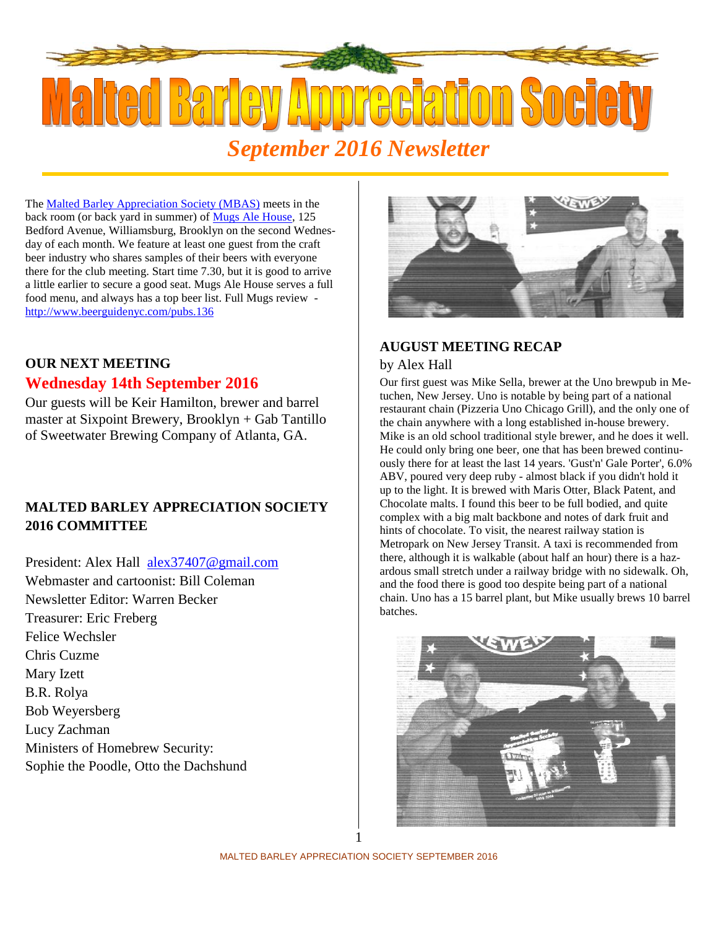

The Malted Barley Appreciation Society (MBAS) meets in the back room (or back yard in summer) of Mugs Ale House, 125 Bedford Avenue, Williamsburg, Brooklyn on the second Wednesday of each month. We feature at least one guest from the craft beer industry who shares samples of their beers with everyone there for the club meeting. Start time 7.30, but it is good to arrive a little earlier to secure a good seat. Mugs Ale House serves a full food menu, and always has a top beer list. Full Mugs review http://www.beerguidenyc.com/pubs.136

# **OUR NEXT MEETING**

### **Wednesday 14th September 2016**

Our guests will be Keir Hamilton, brewer and barrel master at Sixpoint Brewery, Brooklyn + Gab Tantillo of Sweetwater Brewing Company of Atlanta, GA.

## **MALTED BARLEY APPRECIATION SOCIETY 2016 COMMITTEE**

President: Alex Hall alex 37407@gmail.com Webmaster and cartoonist: Bill Coleman Newsletter Editor: Warren Becker Treasurer: Eric Freberg Felice Wechsler Chris Cuzme Mary Izett B.R. Rolya Bob Weyersberg Lucy Zachman Ministers of Homebrew Security: Sophie the Poodle, Otto the Dachshund



### **AUGUST MEETING RECAP**

#### by Alex Hall

Our first guest was Mike Sella, brewer at the Uno brewpub in Metuchen, New Jersey. Uno is notable by being part of a national restaurant chain (Pizzeria Uno Chicago Grill), and the only one of the chain anywhere with a long established in-house brewery. Mike is an old school traditional style brewer, and he does it well. He could only bring one beer, one that has been brewed continuously there for at least the last 14 years. 'Gust'n' Gale Porter', 6.0% ABV, poured very deep ruby - almost black if you didn't hold it up to the light. It is brewed with Maris Otter, Black Patent, and Chocolate malts. I found this beer to be full bodied, and quite complex with a big malt backbone and notes of dark fruit and hints of chocolate. To visit, the nearest railway station is Metropark on New Jersey Transit. A taxi is recommended from there, although it is walkable (about half an hour) there is a haz ardous small stretch under a railway bridge with no sidewalk. Oh, and the food there is good too despite being part of a national chain. Uno has a 15 barrel plant, but Mike usually brews 10 barrel batches.